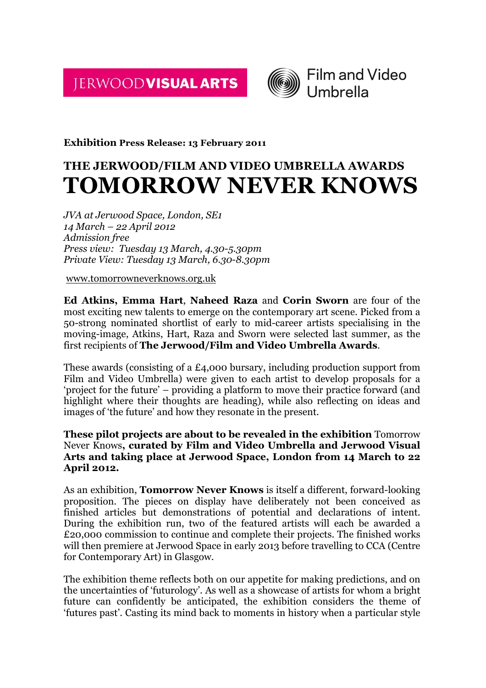JERWOODVISUAL ARTS



**Exhibition Press Release: 13 February 2011**

# **THE JERWOOD/FILM AND VIDEO UMBRELLA AWARDS TOMORROW NEVER KNOWS**

*JVA at Jerwood Space, London, SE1 14 March – 22 April 2012 Admission free Press view: Tuesday 13 March, 4.30-5.30pm Private View: Tuesday 13 March, 6.30-8.30pm*

www.tomorrowneverknows.org.uk

**Ed Atkins, Emma Hart**, **Naheed Raza** and **Corin Sworn** are four of the most exciting new talents to emerge on the contemporary art scene. Picked from a 50-strong nominated shortlist of early to mid-career artists specialising in the moving-image, Atkins, Hart, Raza and Sworn were selected last summer, as the first recipients of **The Jerwood/Film and Video Umbrella Awards**.

These awards (consisting of a £4,000 bursary, including production support from Film and Video Umbrella) were given to each artist to develop proposals for a 'project for the future' – providing a platform to move their practice forward (and highlight where their thoughts are heading), while also reflecting on ideas and images of 'the future' and how they resonate in the present.

## **These pilot projects are about to be revealed in the exhibition** Tomorrow Never Knows**, curated by Film and Video Umbrella and Jerwood Visual Arts and taking place at Jerwood Space, London from 14 March to 22 April 2012.**

As an exhibition, **Tomorrow Never Knows** is itself a different, forward-looking proposition. The pieces on display have deliberately not been conceived as finished articles but demonstrations of potential and declarations of intent. During the exhibition run, two of the featured artists will each be awarded a £20,000 commission to continue and complete their projects. The finished works will then premiere at Jerwood Space in early 2013 before travelling to CCA (Centre for Contemporary Art) in Glasgow.

The exhibition theme reflects both on our appetite for making predictions, and on the uncertainties of 'futurology'. As well as a showcase of artists for whom a bright future can confidently be anticipated, the exhibition considers the theme of 'futures past'. Casting its mind back to moments in history when a particular style